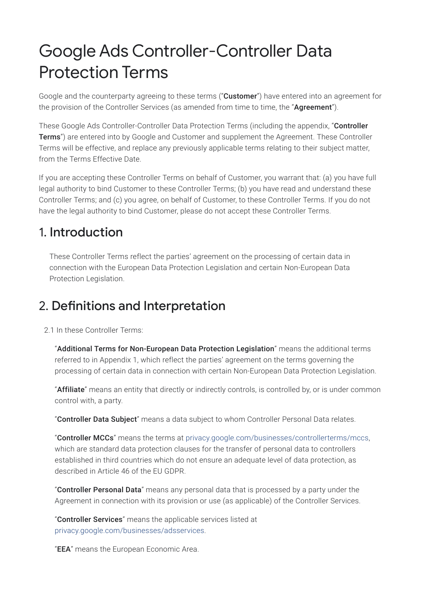# Google Ads Controller-Controller Data Protection Terms

Google and the counterparty agreeing to these terms ("Customer") have entered into an agreement for the provision of the Controller Services (as amended from time to time, the "Agreement").

These Google Ads Controller-Controller Data Protection Terms (including the appendix, "Controller Terms") are entered into by Google and Customer and supplement the Agreement. These Controller Terms will be effective, and replace any previously applicable terms relating to their subject matter, from the Terms Effective Date.

If you are accepting these Controller Terms on behalf of Customer, you warrant that: (a) you have full legal authority to bind Customer to these Controller Terms; (b) you have read and understand these Controller Terms; and (c) you agree, on behalf of Customer, to these Controller Terms. If you do not have the legal authority to bind Customer, please do not accept these Controller Terms.

### 1. Introduction

These Controller Terms reflect the parties' agreement on the processing of certain data in connection with the European Data Protection Legislation and certain Non-European Data Protection Legislation.

## 2. Definitions and Interpretation

2.1 In these Controller Terms:

"Additional Terms for Non-European Data Protection Legislation" means the additional terms referred to in Appendix 1, which reflect the parties' agreement on the terms governing the processing of certain data in connection with certain Non-European Data Protection Legislation.

"Affiliate" means an entity that directly or indirectly controls, is controlled by, or is under common control with, a party.

"Controller Data Subject" means a data subject to whom Controller Personal Data relates.

"Controller MCCs" means the terms at [privacy.google.com/businesses/controllerterms/mccs,](https://privacy.google.com/businesses/controllerterms/mccs/) which are standard data protection clauses for the transfer of personal data to controllers established in third countries which do not ensure an adequate level of data protection, as described in Article 46 of the EU GDPR.

"Controller Personal Data" means any personal data that is processed by a party under the Agreement in connection with its provision or use (as applicable) of the Controller Services.

"Controller Services" means the applicable services listed at [privacy.google.com/businesses/adsservices.](https://privacy.google.com/businesses/adsservices/)

"**EEA**" means the European Economic Area.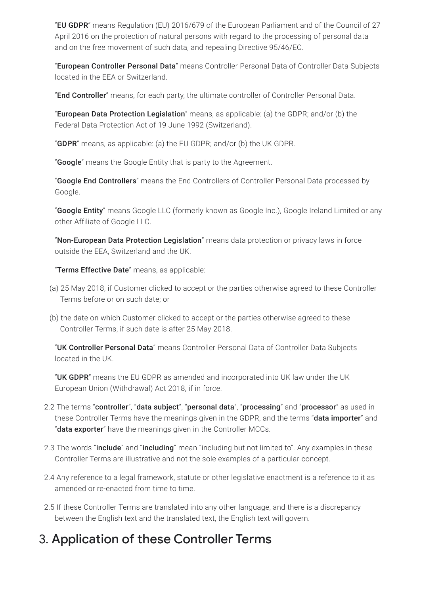"EU GDPR" means Regulation (EU) 2016/679 of the European Parliament and of the Council of 27 April 2016 on the protection of natural persons with regard to the processing of personal data and on the free movement of such data, and repealing Directive 95/46/EC.

"European Controller Personal Data" means Controller Personal Data of Controller Data Subjects located in the EEA or Switzerland.

"End Controller" means, for each party, the ultimate controller of Controller Personal Data.

"European Data Protection Legislation" means, as applicable: (a) the GDPR; and/or (b) the Federal Data Protection Act of 19 June 1992 (Switzerland).

"**GDPR**" means, as applicable: (a) the EU GDPR; and/or (b) the UK GDPR.

"**Google**" means the Google Entity that is party to the Agreement.

"Google End Controllers" means the End Controllers of Controller Personal Data processed by Google.

"Google Entity" means Google LLC (formerly known as Google Inc.), Google Ireland Limited or any other Affiliate of Google LLC.

"Non-European Data Protection Legislation" means data protection or privacy laws in force outside the EEA, Switzerland and the UK.

"Terms Effective Date" means, as applicable:

- (a) 25 May 2018, if Customer clicked to accept or the parties otherwise agreed to these Controller Terms before or on such date; or
- (b) the date on which Customer clicked to accept or the parties otherwise agreed to these Controller Terms, if such date is after 25 May 2018.

"UK Controller Personal Data" means Controller Personal Data of Controller Data Subjects located in the UK.

"UK GDPR" means the EU GDPR as amended and incorporated into UK law under the UK European Union (Withdrawal) Act 2018, if in force.

- 2.2 The terms "controller", "data subject", "personal data", "processing" and "processor" as used in these Controller Terms have the meanings given in the GDPR, and the terms "data importer" and "**data exporter**" have the meanings given in the Controller MCCs.
- 2.3 The words "include" and "including" mean "including but not limited to". Any examples in these Controller Terms are illustrative and not the sole examples of a particular concept.
- 2.4 Any reference to a legal framework, statute or other legislative enactment is a reference to it as amended or re-enacted from time to time.
- 2.5 If these Controller Terms are translated into any other language, and there is a discrepancy between the English text and the translated text, the English text will govern.

# 3. Application of these Controller Terms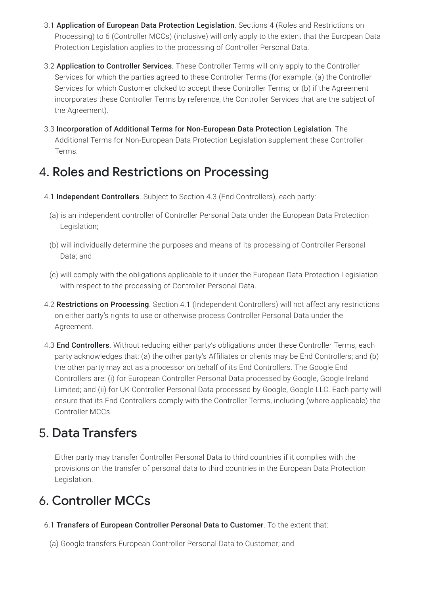- 3.1 Application of European Data Protection Legislation. Sections 4 (Roles and Restrictions on Processing) to 6 (Controller MCCs) (inclusive) will only apply to the extent that the European Data Protection Legislation applies to the processing of Controller Personal Data.
- 3.2 Application to Controller Services. These Controller Terms will only apply to the Controller Services for which the parties agreed to these Controller Terms (for example: (a) the Controller Services for which Customer clicked to accept these Controller Terms; or (b) if the Agreement incorporates these Controller Terms by reference, the Controller Services that are the subject of the Agreement).
- 3.3 Incorporation of Additional Terms for Non-European Data Protection Legislation. The Additional Terms for Non-European Data Protection Legislation supplement these Controller Terms.

## 4. Roles and Restrictions on Processing

- 4.1 Independent Controllers. Subject to Section 4.3 (End Controllers), each party:
	- (a) is an independent controller of Controller Personal Data under the European Data Protection Legislation;
	- (b) will individually determine the purposes and means of its processing of Controller Personal Data; and
	- (c) will comply with the obligations applicable to it under the European Data Protection Legislation with respect to the processing of Controller Personal Data.
- 4.2 Restrictions on Processing. Section 4.1 (Independent Controllers) will not affect any restrictions on either party's rights to use or otherwise process Controller Personal Data under the Agreement.
- 4.3 **End Controllers**. Without reducing either party's obligations under these Controller Terms, each party acknowledges that: (a) the other party's Affiliates or clients may be End Controllers; and (b) the other party may act as a processor on behalf of its End Controllers. The Google End Controllers are: (i) for European Controller Personal Data processed by Google, Google Ireland Limited; and (ii) for UK Controller Personal Data processed by Google, Google LLC. Each party will ensure that its End Controllers comply with the Controller Terms, including (where applicable) the Controller MCCs.

### 5. Data Transfers

Either party may transfer Controller Personal Data to third countries if it complies with the provisions on the transfer of personal data to third countries in the European Data Protection Legislation.

# 6. Controller MCCs

6.1 Transfers of European Controller Personal Data to Customer. To the extent that:

(a) Google transfers European Controller Personal Data to Customer; and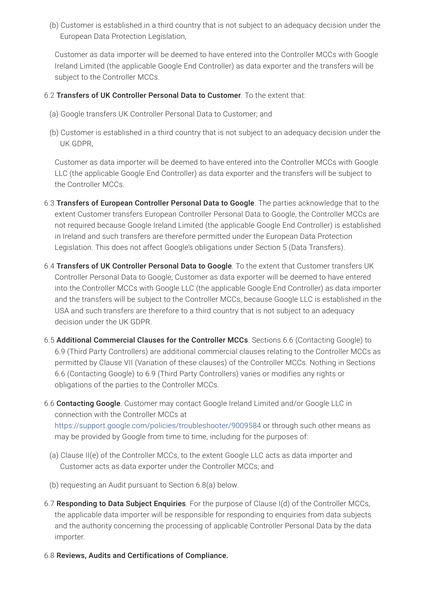(b) Customer is established in a third country that is not subject to an adequacy decision under the European Data Protection Legislation,

Customer as data importer will be deemed to have entered into the Controller MCCs with Google Ireland Limited (the applicable Google End Controller) as data exporter and the transfers will be subject to the Controller MCCs.

#### 6.2 Transfers of UK Controller Personal Data to Customer. To the extent that:

- (a) Google transfers UK Controller Personal Data to Customer; and
- (b) Customer is established in a third country that is not subject to an adequacy decision under the UK GDPR,

Customer as data importer will be deemed to have entered into the Controller MCCs with Google LLC (the applicable Google End Controller) as data exporter and the transfers will be subject to the Controller MCCs.

- 6.3 Transfers of European Controller Personal Data to Google. The parties acknowledge that to the extent Customer transfers European Controller Personal Data to Google, the Controller MCCs are not required because Google Ireland Limited (the applicable Google End Controller) is established in Ireland and such transfers are therefore permitted under the European Data Protection Legislation. This does not affect Google's obligations under Section 5 (Data Transfers).
- 6.4 Transfers of UK Controller Personal Data to Google. To the extent that Customer transfers UK Controller Personal Data to Google, Customer as data exporter will be deemed to have entered into the Controller MCCs with Google LLC (the applicable Google End Controller) as data importer and the transfers will be subject to the Controller MCCs, because Google LLC is established in the USA and such transfers are therefore to a third country that is not subject to an adequacy decision under the UK GDPR.
- 6.5 Additional Commercial Clauses for the Controller MCCs. Sections 6.6 (Contacting Google) to 6.9 (Third Party Controllers) are additional commercial clauses relating to the Controller MCCs as permitted by Clause VII (Variation of these clauses) of the Controller MCCs. Nothing in Sections 6.6 (Contacting Google) to 6.9 (Third Party Controllers) varies or modifies any rights or obligations of the parties to the Controller MCCs.
- 6.6 Contacting Google. Customer may contact Google Ireland Limited and/or Google LLC in connection with the Controller MCCs at <https://support.google.com/policies/troubleshooter/9009584> or through such other means as
	- (a) Clause II(e) of the Controller MCCs, to the extent Google LLC acts as data importer and Customer acts as data exporter under the Controller MCCs; and

may be provided by Google from time to time, including for the purposes of:

- (b) requesting an Audit pursuant to Section 6.8(a) below.
- 6.7 Responding to Data Subject Enquiries. For the purpose of Clause I(d) of the Controller MCCs, the applicable data importer will be responsible for responding to enquiries from data subjects and the authority concerning the processing of applicable Controller Personal Data by the data importer.
- 6.8 Reviews, Audits and Certifications of Compliance.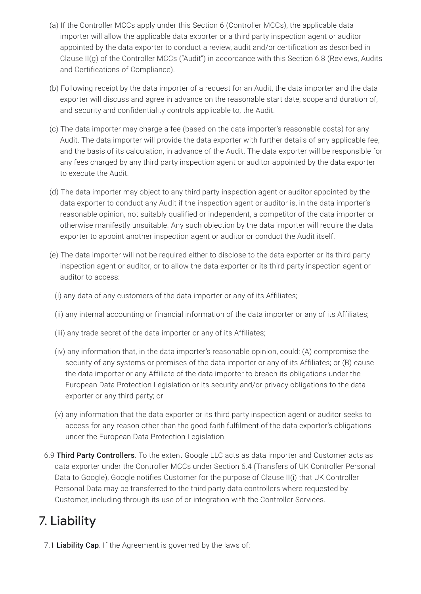- (a) If the Controller MCCs apply under this Section 6 (Controller MCCs), the applicable data importer will allow the applicable data exporter or a third party inspection agent or auditor appointed by the data exporter to conduct a review, audit and/or certification as described in Clause II(g) of the Controller MCCs ("Audit") in accordance with this Section 6.8 (Reviews, Audits and Certifications of Compliance).
- (b) Following receipt by the data importer of a request for an Audit, the data importer and the data exporter will discuss and agree in advance on the reasonable start date, scope and duration of, and security and confidentiality controls applicable to, the Audit.
- (c) The data importer may charge a fee (based on the data importer's reasonable costs) for any Audit. The data importer will provide the data exporter with further details of any applicable fee, and the basis of its calculation, in advance of the Audit. The data exporter will be responsible for any fees charged by any third party inspection agent or auditor appointed by the data exporter to execute the Audit.
- (d) The data importer may object to any third party inspection agent or auditor appointed by the data exporter to conduct any Audit if the inspection agent or auditor is, in the data importer's reasonable opinion, not suitably qualified or independent, a competitor of the data importer or otherwise manifestly unsuitable. Any such objection by the data importer will require the data exporter to appoint another inspection agent or auditor or conduct the Audit itself.
- (e) The data importer will not be required either to disclose to the data exporter or its third party inspection agent or auditor, or to allow the data exporter or its third party inspection agent or auditor to access:
	- (i) any data of any customers of the data importer or any of its Affiliates;
	- (ii) any internal accounting or financial information of the data importer or any of its Affiliates;
	- (iii) any trade secret of the data importer or any of its Affiliates;
	- (iv) any information that, in the data importer's reasonable opinion, could: (A) compromise the security of any systems or premises of the data importer or any of its Affiliates; or (B) cause the data importer or any Affiliate of the data importer to breach its obligations under the European Data Protection Legislation or its security and/or privacy obligations to the data exporter or any third party; or
	- (v) any information that the data exporter or its third party inspection agent or auditor seeks to access for any reason other than the good faith fulfilment of the data exporter's obligations under the European Data Protection Legislation.
- 6.9 Third Party Controllers. To the extent Google LLC acts as data importer and Customer acts as data exporter under the Controller MCCs under Section 6.4 (Transfers of UK Controller Personal Data to Google), Google notifies Customer for the purpose of Clause II(i) that UK Controller Personal Data may be transferred to the third party data controllers where requested by Customer, including through its use of or integration with the Controller Services.

# 7. Liability

7.1 Liability Cap. If the Agreement is governed by the laws of: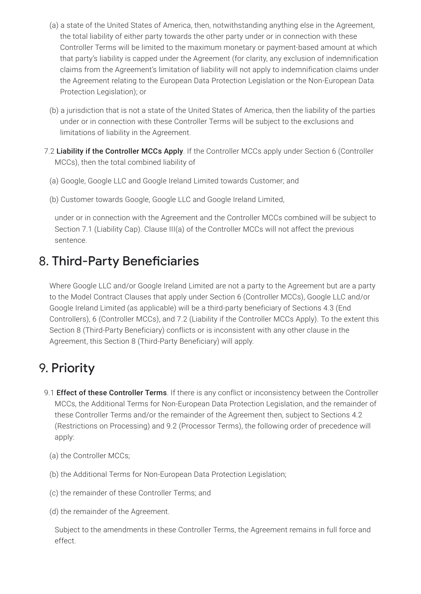- (a) a state of the United States of America, then, notwithstanding anything else in the Agreement, the total liability of either party towards the other party under or in connection with these Controller Terms will be limited to the maximum monetary or payment-based amount at which that party's liability is capped under the Agreement (for clarity, any exclusion of indemnification claims from the Agreement's limitation of liability will not apply to indemnification claims under the Agreement relating to the European Data Protection Legislation or the Non-European Data Protection Legislation); or
- (b) a jurisdiction that is not a state of the United States of America, then the liability of the parties under or in connection with these Controller Terms will be subject to the exclusions and limitations of liability in the Agreement.
- 7.2 Liability if the Controller MCCs Apply. If the Controller MCCs apply under Section 6 (Controller MCCs), then the total combined liability of
	- (a) Google, Google LLC and Google Ireland Limited towards Customer; and
	- (b) Customer towards Google, Google LLC and Google Ireland Limited,

under or in connection with the Agreement and the Controller MCCs combined will be subject to Section 7.1 (Liability Cap). Clause III(a) of the Controller MCCs will not affect the previous sentence.

## 8. Third-Party Beneficiaries

Where Google LLC and/or Google Ireland Limited are not a party to the Agreement but are a party to the Model Contract Clauses that apply under Section 6 (Controller MCCs), Google LLC and/or Google Ireland Limited (as applicable) will be a third-party beneficiary of Sections 4.3 (End Controllers), 6 (Controller MCCs), and 7.2 (Liability if the Controller MCCs Apply). To the extent this Section 8 (Third-Party Beneficiary) conflicts or is inconsistent with any other clause in the Agreement, this Section 8 (Third-Party Beneficiary) will apply.

# 9. Priority

- 9.1 Effect of these Controller Terms. If there is any conflict or inconsistency between the Controller MCCs, the Additional Terms for Non-European Data Protection Legislation, and the remainder of these Controller Terms and/or the remainder of the Agreement then, subject to Sections 4.2 (Restrictions on Processing) and 9.2 (Processor Terms), the following order of precedence will apply:
	- (a) the Controller MCCs;
	- (b) the Additional Terms for Non-European Data Protection Legislation;
	- (c) the remainder of these Controller Terms; and
	- (d) the remainder of the Agreement.

Subject to the amendments in these Controller Terms, the Agreement remains in full force and effect.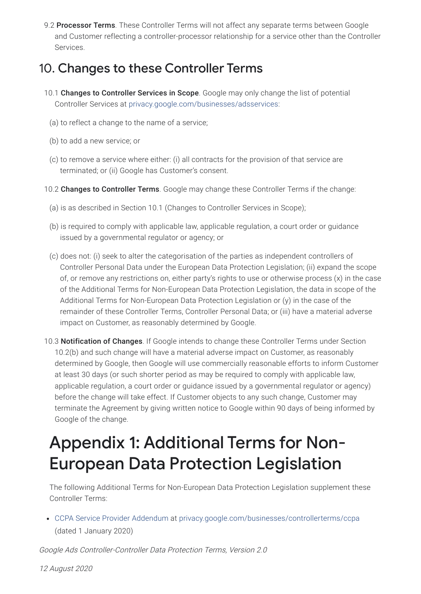9.2 Processor Terms. These Controller Terms will not affect any separate terms between Google and Customer reflecting a controller-processor relationship for a service other than the Controller Services.

### 10. Changes to these Controller Terms

- 10.1 Changes to Controller Services in Scope. Google may only change the list of potential Controller Services at [privacy.google.com/businesses/adsservices](https://privacy.google.com/businesses/adsservices/):
	- (a) to reflect a change to the name of a service;
	- (b) to add a new service; or
	- (c) to remove a service where either: (i) all contracts for the provision of that service are terminated; or (ii) Google has Customer's consent.
- 10.2 Changes to Controller Terms. Google may change these Controller Terms if the change:
	- (a) is as described in Section 10.1 (Changes to Controller Services in Scope);
	- (b) is required to comply with applicable law, applicable regulation, a court order or guidance issued by a governmental regulator or agency; or
	- (c) does not: (i) seek to alter the categorisation of the parties as independent controllers of Controller Personal Data under the European Data Protection Legislation; (ii) expand the scope of, or remove any restrictions on, either party's rights to use or otherwise process (x) in the case of the Additional Terms for Non-European Data Protection Legislation, the data in scope of the Additional Terms for Non-European Data Protection Legislation or (y) in the case of the remainder of these Controller Terms, Controller Personal Data; or (iii) have a material adverse impact on Customer, as reasonably determined by Google.
- 10.3 Notification of Changes. If Google intends to change these Controller Terms under Section 10.2(b) and such change will have a material adverse impact on Customer, as reasonably determined by Google, then Google will use commercially reasonable efforts to inform Customer at least 30 days (or such shorter period as may be required to comply with applicable law, applicable regulation, a court order or guidance issued by a governmental regulator or agency) before the change will take effect. If Customer objects to any such change, Customer may terminate the Agreement by giving written notice to Google within 90 days of being informed by Google of the change.

# Appendix 1: Additional Terms for Non-European Data Protection Legislation

The following Additional Terms for Non-European Data Protection Legislation supplement these Controller Terms:

CCPA Service Provider [Addendum](https://privacy.google.com/businesses/controllerterms/ccpa/) at [privacy.google.com/businesses/controllerterms/ccpa](https://privacy.google.com/businesses/controllerterms/ccpa/) (dated 1 January 2020)

Google Ads Controller-Controller Data Protection Terms, Version 2.0